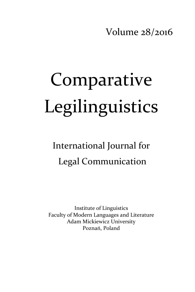Volume 28/2016

# Comparative Legilinguistics

International Journal for Legal Communication

Institute of Linguistics Faculty of Modern Languages and Literature Adam Mickiewicz University Poznań, Poland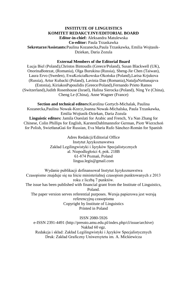#### **INSTITUTE OF LINGUISTICS KOMITET REDAKCYJNY/EDITORIAL BOARD**

**Editor-in-chief:** Aleksandra Matulewska **Co-editor:** Paula Trzaskawka **Sekretarze/Assistants:**Paulina Kozanecka,Paula Trzaskawka, Emilia Wojtasik-Dziekan, Daria Zozula

#### **External Members of the Editorial Board**

Łucja Biel (Poland),Christos Bintoudis (Greece/Poland), Susan Blackwell (UK), OnorinaBotezat, (Romania), Olga Burukina (Russia), Sheng-Jie Chen (Taiwan), Laura Ervo (Sweden), EwaKościałkowska-Okońska (Poland),Larisa Krjukova (Russia), Artur Kubacki (Poland), Lavinia Dan (Romania),NataljaNetšunajeva (Estonia), KiriakosPapoulidis (Greece/Poland),Fernando Prieto Ramos (Switzerland),Judith Rosenhouse (Israel), Halina Sierocka (Poland), Ning Ye (China), Cheng Le (China), Anne Wagner (France)

**Section and technical editors:**Karolina Gortych-Michalak, Paulina Kozanecka,Paulina Nowak-Korcz,Joanna Nowak-Michalska, Paula Trzaskawka, Emilia Wojtasik-Dziekan, Daria Zozula **Linguistic editors:** Jamila Oueslati for Arabic and French, Ya Nan Zhang for Chinese, Colin Phillips for English, KarstenDahlmannsfor German, Piotr Wierzchoń for Polish, SwietłanaGaś for Russian, Eva María Rufo Sánchez-Román for Spanish

> Adres Redakcji/Editorial Office Instytut Językoznawstwa Zakład Legilingwistyki i Języków Specjalistycznych al. Niepodległości 4, pok. 218B 61-874 Poznań, Poland [lingua.legis@gmail.com](mailto:lingua.legis@gmail.com)

Wydanie publikacji dofinansował Instytut Językoznawstwa Czasopismo znajduje się na liście ministerialnej czasopism punktowanych z 2013 roku z liczbą 7 punktów. The issue has been published with financial grant from the Institute of Linguistics, Poland. The paper version serves referential purposes. Wersja papierowa jest wersją referencyjną czasopisma Copyright by Institute of Linguistics Printed in Poland

ISSN 2080-5926 e-ISSN 2391-4491 (http://pressto.amu.edu.pl/index.php/cl/issue/archive) Nakład 60 egz. Redakcja i skład: Zakład Legilingwistyki i Języków Specjalistycznych Druk: Zakład Graficzny Uniwersytetu im. A. Mickiewicza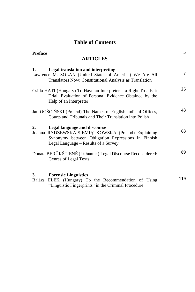## **Table of Contents**

| <b>Preface</b> |                                                                                                                                                                                         | 5   |
|----------------|-----------------------------------------------------------------------------------------------------------------------------------------------------------------------------------------|-----|
|                | <b>ARTICLES</b>                                                                                                                                                                         |     |
| 1.             | <b>Legal translation and interpreting</b><br>Lawrence M. SOLAN (United States of America) We Are All<br>Translators Now: Constitutional Analysis as Translation                         | 7   |
|                | Csilla HATI (Hungary) To Have an Interpreter – a Right To a Fair<br>Trial. Evaluation of Personal Evidence Obtained by the<br>Help of an Interpreter                                    | 25  |
|                | Jan GOŚCIŃSKI (Poland) The Names of English Judicial Offices,<br>Courts and Tribunals and Their Translation into Polish                                                                 | 43  |
| 2.             | <b>Legal language and discourse</b><br>Joanna RYDZEWSKA-SIEMIATKOWSKA (Poland) Explaining<br>Synonymy between Obligation Expressions in Finnish<br>Legal Language - Results of a Survey | 63  |
|                | Donata BERŪKŠTIENĖ (Lithuania) Legal Discourse Reconsidered:<br>Genres of Legal Texts                                                                                                   | 89  |
| 3.             | <b>Forensic Linguistics</b><br>Balázs ELEK (Hungary) To the Recommendation of Using<br>"Linguistic Fingerprints" in the Criminal Procedure                                              | 119 |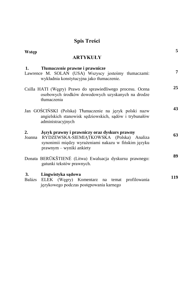## **Spis Treści**

| Wstęp<br><b>ARTYKUŁY</b>                                                                                                                                                                  | 5   |
|-------------------------------------------------------------------------------------------------------------------------------------------------------------------------------------------|-----|
| Tłumaczenie prawne i prawnicze<br>1.<br>Lawrence M. SOLAN (USA) Wszyscy jesteśmy tłumaczami:<br>wykładnia konstytucyjna jako tłumaczenie.                                                 | 7   |
| Csilla HATI (Węgry) Prawo do sprawiedliwego procesu. Ocena<br>osobowych środków dowodowych uzyskanych na drodze<br>tłumaczenia                                                            | 25  |
| Jan GOŚCIŃSKI (Polska) Tłumaczenie na język polski nazw<br>angielskich stanowisk sędziowskich, sądów i trybunałów<br>administracyjnych                                                    | 43  |
| Język prawny i prawniczy oraz dyskurs prawny<br>2.<br>Joanna RYDZEWSKA-SIEMIĄTKOWSKA (Polska) Analiza<br>synonimii między wyrażeniami nakazu w fińskim języku<br>prawnym – wyniki ankiety | 63  |
| Donata BERŪKŠTIENĖ (Litwa) Ewaluacja dyskursu prawnego:<br>gatunki tekstów prawnych.                                                                                                      | 89  |
| Lingwistyka sądowa<br>3.<br>Balázs ELEK (Węgry) Komentarz na temat profilowania<br>językowego podczas postępowania karnego                                                                | 119 |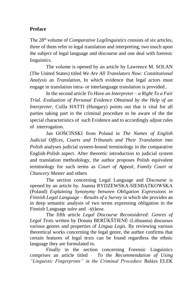### **Preface**

The 28th volume of *Comparative Legilinguistics* consists of six articles, three of them refer to legal translation and interpreting, two touch upon the subject of legal language and discourse and one deal with forensic linguistics.

The volume is opened by an article by Lawrence M. SOLAN (The United States) titled *We Are All Translators Now: Constitutional Analysis as Translation,* In which evidence that legal actors must engage in translation intra- or interlanguage translation is provided..

In the second article *To Have an Interpreter – a Right To a Fair Trial. Evaluation of Personal Evidence Obtained by the Help of an Interpreter,* Csilla HATTI (Hungary) points out that is vital for all parties taking part in the criminal procedure to be aware of the the special characteristics of such Evidence and to accordingly adjust rules of interrogation.

Jan GOŚCIŃSKI from Poland in *The Names of English Judicial Offices, Courts and Tribunals and Their Translation into Polish* analyses judicial system-bound terminology in the comparative English-Polish aspect. After theoretic introduction to judicial system and translation methodology, the author proposes Polish equivalent terminology for such terms as *Court of Appeal*, *Family Court* or *Chancery Master* and others

The section concerning Legal Language and Discourse is opened by an article by. Joanna RYDZEWSKA-SIEMIĄTKOWSKA (Poland) *Explaining Synonymy between Obligation Expressions in Finnish Legal Language – Results of a Survey* in which she provides an in deep semantic analysis of two terms expressing obligation in the Finnish Language *tulee* and *-t(t)ava.*

The fifth article *Legal Discourse Reconsidered: Genres of Legal Texts* written by Donata BERŪKŠTIENĖ (Lithuania) discusses various genres and properties of *Lingua Legis*. By reviewing various theoretical works concerning the legal genre, the author confirms that certain features of legal texts can be found regardless the ethnic language they are formulated in.

Finally in the section concerning Forensic Linguistics comprises an article titled *To the Recommendation of Using "Linguistic Fingerprints" in the Criminal Procedure* Balázs ELEK